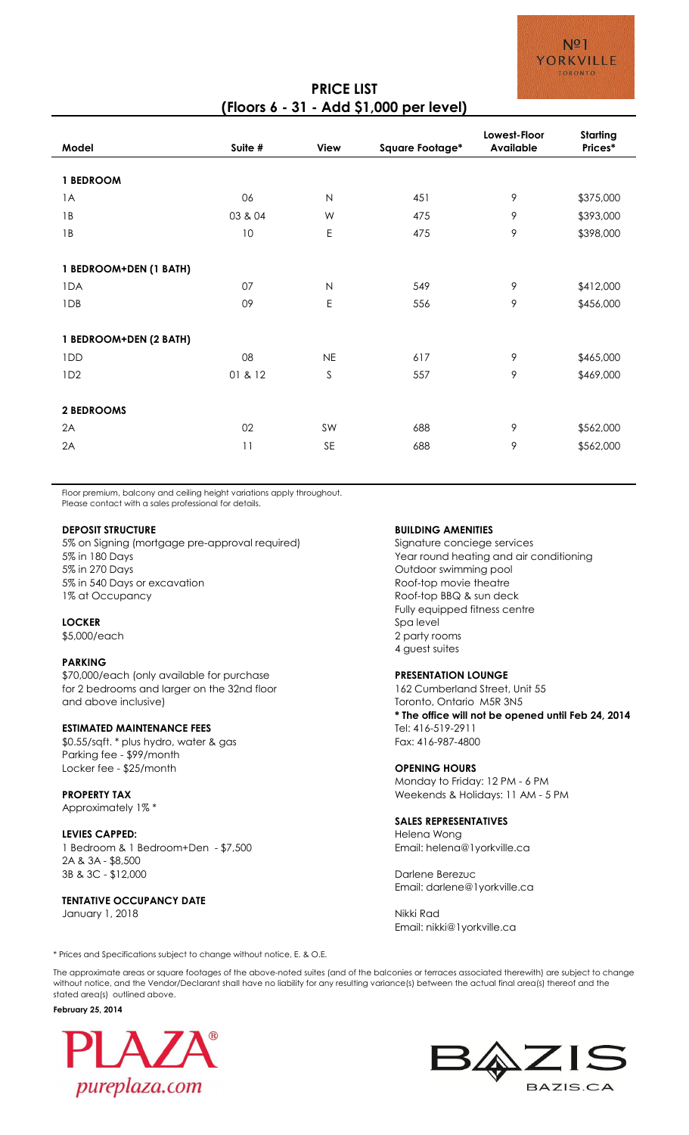# **PRICE LIST (Floors 6 - 31 - Add \$1,000 per level)**

| Model                  | Suite # | <b>View</b>  | Square Footage* | Lowest-Floor<br><b>Available</b> | Starting<br>Prices* |
|------------------------|---------|--------------|-----------------|----------------------------------|---------------------|
|                        |         |              |                 |                                  |                     |
| 1 BEDROOM              |         |              |                 |                                  |                     |
| 1A                     | 06      | $\mathsf{N}$ | 451             | 9                                | \$375,000           |
| 1B                     | 03 & 04 | W            | 475             | 9                                | \$393,000           |
| 1B                     | 10      | $\mathsf E$  | 475             | 9                                | \$398,000           |
|                        |         |              |                 |                                  |                     |
| 1 BEDROOM+DEN (1 BATH) |         |              |                 |                                  |                     |
| 1DA                    | 07      | $\mathsf{N}$ | 549             | 9                                | \$412,000           |
| 1DB                    | 09      | $\mathsf E$  | 556             | 9                                | \$456,000           |
|                        |         |              |                 |                                  |                     |
| 1 BEDROOM+DEN (2 BATH) |         |              |                 |                                  |                     |
| 1DD                    | 08      | <b>NE</b>    | 617             | 9                                | \$465,000           |
| ID <sub>2</sub>        | 01 & 12 | $\mathsf S$  | 557             | 9                                | \$469,000           |
|                        |         |              |                 |                                  |                     |
| 2 BEDROOMS             |         |              |                 |                                  |                     |
| 2A                     | 02      | SW           | 688             | 9                                | \$562,000           |
| 2A                     | 11      | SE           | 688             | 9                                | \$562,000           |
|                        |         |              |                 |                                  |                     |

Floor premium, balcony and ceiling height variations apply throughout. Please contact with a sales professional for details.

5% on Signing (mortgage pre-approval required) Signature conciege services 5% in 180 Days Year round heating and air conditioning 5% in 270 Days and the state of the state of the control of the Outdoor swimming pool 5% in 540 Days or excavation and the state of the Roof-top movie theatre 1% at Occupancy **According to the COV** Roof-top BBQ & sun deck

## **PARKING**

\$70,000/each (only available for purchase **PRESENTATION LOUNGE** for 2 bedrooms and larger on the 32nd floor 162 Cumberland Street, Unit 55 and above inclusive) Toronto, Ontario M5R 3N5

# **ESTIMATED MAINTENANCE FEES** TEL: 416-519-2911

\$0.55/sqft. \* plus hydro, water & gas Fax: 416-987-4800 Parking fee - \$99/month Locker fee - \$25/month **OPENING HOURS**

Approximately 1% \*

## **LEVIES CAPPED:** Helena Wong

1 Bedroom & 1 Bedroom+Den - \$7,500 Email: helena@1yorkville.ca 2A & 3A - \$8,500 3B & 3C - \$12,000 Darlene Berezuc

# **TENTATIVE OCCUPANCY DATE**

January 1, 2018 **Nikki Rad** 

## **DEPOSIT STRUCTURE BUILDING AMENITIES**

Fully equipped fitness centre **LOCKER** Spa level \$5,000/each 2 party rooms 4 guest suites

**\* The office will not be opened until Feb 24, 2014**

Monday to Friday: 12 PM - 6 PM **PROPERTY TAX PROPERTY TAX WEEKEND ASSESSED AS A MODEL OF A MODEL OF A MODEL OF A MODEL OF A MODEL OF A MODEL OF A MODEL OF A MODEL OF A MODEL OF A MODEL OF A MODEL OF A MODEL OF A MODEL OF A MODEL OF A MODEL OF A MODE** 

## **SALES REPRESENTATIVES**

Email: darlene@1yorkville.ca

Email: nikki@1yorkville.ca

\* Prices and Specifications subject to change without notice, E. & O.E.

The approximate areas or square footages of the above-noted suites (and of the balconies or terraces associated therewith) are subject to change without notice, and the Vendor/Declarant shall have no liability for any resulting variance(s) between the actual final area(s) thereof and the stated area(s) outlined above.

### **February 25, 2014**